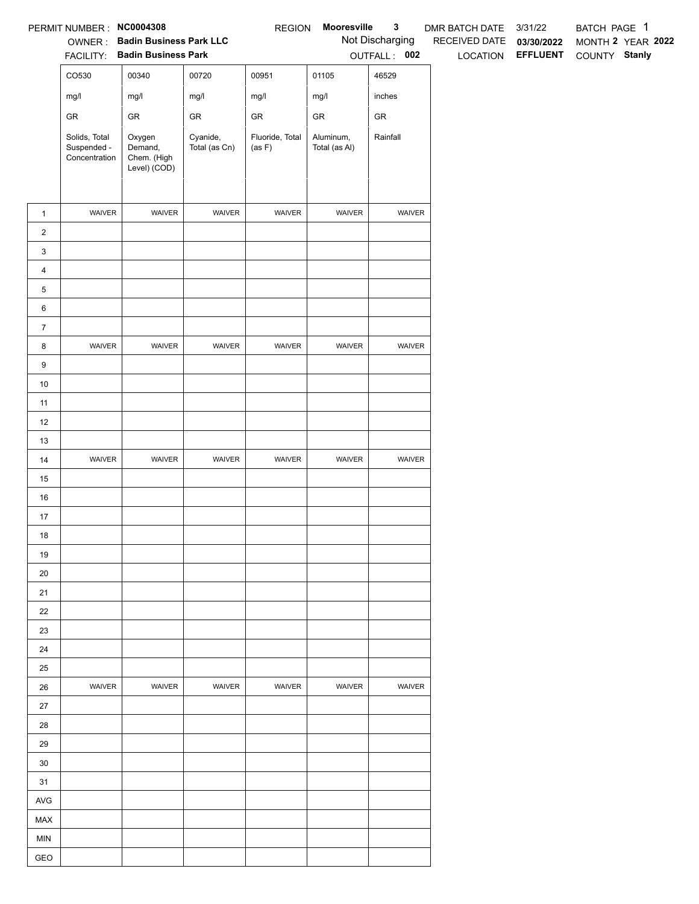|                | PERMIT NUMBER: NC0004308                      |                                                  |                           | <b>REGION</b>             | Mooresville                | $\mathbf{3}$    | DMR BATCH DATE           | 3/31/22                         | BATCH PAGE 1 |                   |
|----------------|-----------------------------------------------|--------------------------------------------------|---------------------------|---------------------------|----------------------------|-----------------|--------------------------|---------------------------------|--------------|-------------------|
|                |                                               | OWNER: Badin Business Park LLC                   |                           |                           |                            | Not Discharging | RECEIVED DATE 03/30/2022 |                                 |              | MONTH 2 YEAR 2022 |
|                |                                               | FACILITY: Badin Business Park                    |                           |                           |                            | OUTFALL: 002    |                          | LOCATION EFFLUENT COUNTY Stanly |              |                   |
|                | CO530                                         | 00340                                            | 00720                     | 00951                     | 01105                      | 46529           |                          |                                 |              |                   |
|                | mg/l                                          | mg/l                                             | mg/l                      | mg/l                      | mg/l                       | inches          |                          |                                 |              |                   |
|                | ${\sf GR}$                                    | ${\sf GR}$                                       | ${\sf GR}$                | ${\sf GR}$                | ${\sf GR}$                 | ${\sf GR}$      |                          |                                 |              |                   |
|                | Solids, Total<br>Suspended -<br>Concentration | Oxygen<br>Demand,<br>Chem. (High<br>Level) (COD) | Cyanide,<br>Total (as Cn) | Fluoride, Total<br>(as F) | Aluminum,<br>Total (as Al) | Rainfall        |                          |                                 |              |                   |
| $\mathbf{1}$   | WAIVER                                        | WAIVER                                           | WAIVER                    | WAIVER                    | WAIVER                     | WAIVER          |                          |                                 |              |                   |
| $\overline{2}$ |                                               |                                                  |                           |                           |                            |                 |                          |                                 |              |                   |
| $\mathbf{3}$   |                                               |                                                  |                           |                           |                            |                 |                          |                                 |              |                   |
| $\overline{4}$ |                                               |                                                  |                           |                           |                            |                 |                          |                                 |              |                   |
| $\,$ 5 $\,$    |                                               |                                                  |                           |                           |                            |                 |                          |                                 |              |                   |
| 6              |                                               |                                                  |                           |                           |                            |                 |                          |                                 |              |                   |
| $\overline{7}$ |                                               |                                                  |                           |                           |                            |                 |                          |                                 |              |                   |
| 8              | WAIVER                                        | WAIVER                                           | WAIVER                    | WAIVER                    | WAIVER                     | WAIVER          |                          |                                 |              |                   |
| $9\,$          |                                               |                                                  |                           |                           |                            |                 |                          |                                 |              |                   |
| 10             |                                               |                                                  |                           |                           |                            |                 |                          |                                 |              |                   |
| 11             |                                               |                                                  |                           |                           |                            |                 |                          |                                 |              |                   |
| 12             |                                               |                                                  |                           |                           |                            |                 |                          |                                 |              |                   |
| 13             |                                               |                                                  |                           |                           |                            |                 |                          |                                 |              |                   |
| 14             | WAIVER                                        | WAIVER                                           | WAIVER                    | WAIVER                    | WAIVER                     | WAIVER          |                          |                                 |              |                   |
| 15             |                                               |                                                  |                           |                           |                            |                 |                          |                                 |              |                   |
| 16             |                                               |                                                  |                           |                           |                            |                 |                          |                                 |              |                   |
| 17             |                                               |                                                  |                           |                           |                            |                 |                          |                                 |              |                   |
| 18             |                                               |                                                  |                           |                           |                            |                 |                          |                                 |              |                   |
| 19             |                                               |                                                  |                           |                           |                            |                 |                          |                                 |              |                   |
| 20<br>21       |                                               |                                                  |                           |                           |                            |                 |                          |                                 |              |                   |
| 22             |                                               |                                                  |                           |                           |                            |                 |                          |                                 |              |                   |
| 23             |                                               |                                                  |                           |                           |                            |                 |                          |                                 |              |                   |
| 24             |                                               |                                                  |                           |                           |                            |                 |                          |                                 |              |                   |
| 25             |                                               |                                                  |                           |                           |                            |                 |                          |                                 |              |                   |
| 26             | <b>WAIVER</b>                                 | WAIVER                                           | <b>WAIVER</b>             | WAIVER                    | <b>WAIVER</b>              | <b>WAIVER</b>   |                          |                                 |              |                   |
| 27             |                                               |                                                  |                           |                           |                            |                 |                          |                                 |              |                   |
| 28             |                                               |                                                  |                           |                           |                            |                 |                          |                                 |              |                   |
| 29             |                                               |                                                  |                           |                           |                            |                 |                          |                                 |              |                   |
| 30             |                                               |                                                  |                           |                           |                            |                 |                          |                                 |              |                   |
| 31             |                                               |                                                  |                           |                           |                            |                 |                          |                                 |              |                   |
| AVG            |                                               |                                                  |                           |                           |                            |                 |                          |                                 |              |                   |
| MAX            |                                               |                                                  |                           |                           |                            |                 |                          |                                 |              |                   |
| <b>MIN</b>     |                                               |                                                  |                           |                           |                            |                 |                          |                                 |              |                   |
| GEO            |                                               |                                                  |                           |                           |                            |                 |                          |                                 |              |                   |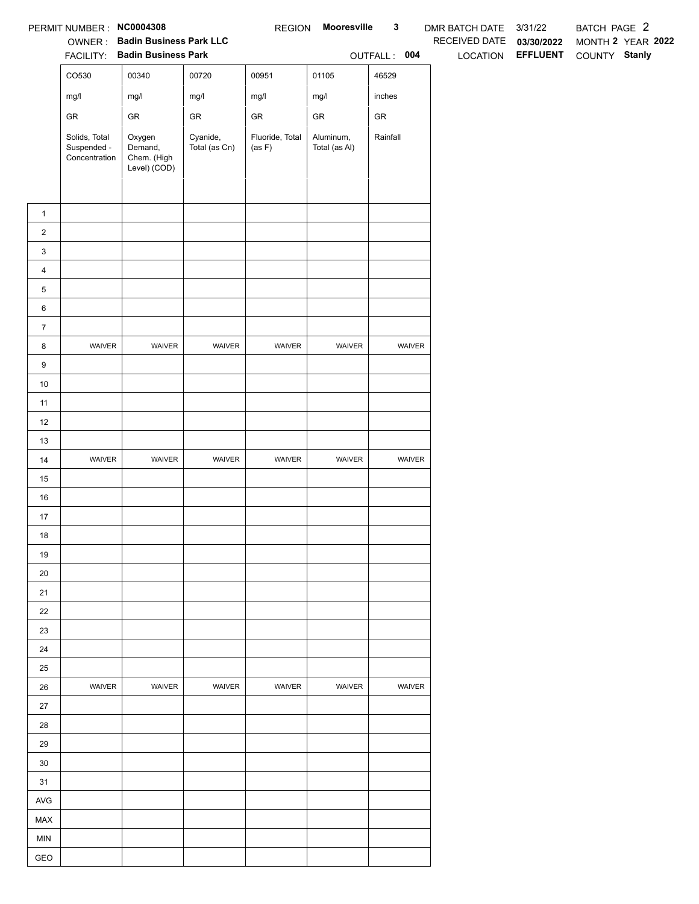|                         | PERMIT NUMBER: NC0004308                      |                                                                 |                           | <b>REGION</b>             | Mooresville                | $\mathbf 3$  | <b>DMR BATCH DATE</b> | 3/31/22                         | BATCH PAGE 2                       |
|-------------------------|-----------------------------------------------|-----------------------------------------------------------------|---------------------------|---------------------------|----------------------------|--------------|-----------------------|---------------------------------|------------------------------------|
|                         | OWNER:                                        | <b>Badin Business Park LLC</b><br>FACILITY: Badin Business Park |                           |                           |                            | OUTFALL: 004 | RECEIVED DATE         | 03/30/2022<br>LOCATION EFFLUENT | MONTH 2 YEAR 2022<br>COUNTY Stanly |
|                         | CO530                                         | 00340                                                           | 00720                     | 00951                     | 01105                      | 46529        |                       |                                 |                                    |
|                         | mg/l                                          | mg/l                                                            | mg/l                      | mg/l                      | mg/l                       | inches       |                       |                                 |                                    |
|                         | ${\sf GR}$                                    | ${\sf GR}$                                                      | ${\sf GR}$                | ${\sf GR}$                | ${\sf GR}$                 | ${\sf GR}$   |                       |                                 |                                    |
|                         | Solids, Total<br>Suspended -<br>Concentration | Oxygen<br>Demand,<br>Chem. (High<br>Level) (COD)                | Cyanide,<br>Total (as Cn) | Fluoride, Total<br>(as F) | Aluminum,<br>Total (as Al) | Rainfall     |                       |                                 |                                    |
|                         |                                               |                                                                 |                           |                           |                            |              |                       |                                 |                                    |
| $\mathbf{1}$            |                                               |                                                                 |                           |                           |                            |              |                       |                                 |                                    |
| $\overline{a}$          |                                               |                                                                 |                           |                           |                            |              |                       |                                 |                                    |
| 3                       |                                               |                                                                 |                           |                           |                            |              |                       |                                 |                                    |
| $\overline{\mathbf{4}}$ |                                               |                                                                 |                           |                           |                            |              |                       |                                 |                                    |
| 5                       |                                               |                                                                 |                           |                           |                            |              |                       |                                 |                                    |
| 6                       |                                               |                                                                 |                           |                           |                            |              |                       |                                 |                                    |
| $\overline{7}$<br>8     | WAIVER                                        | WAIVER                                                          | WAIVER                    | WAIVER                    | WAIVER                     | WAIVER       |                       |                                 |                                    |
| 9                       |                                               |                                                                 |                           |                           |                            |              |                       |                                 |                                    |
| 10                      |                                               |                                                                 |                           |                           |                            |              |                       |                                 |                                    |
| 11                      |                                               |                                                                 |                           |                           |                            |              |                       |                                 |                                    |
| 12                      |                                               |                                                                 |                           |                           |                            |              |                       |                                 |                                    |
| 13                      |                                               |                                                                 |                           |                           |                            |              |                       |                                 |                                    |
| 14                      | WAIVER                                        | WAIVER                                                          | WAIVER                    | WAIVER                    | WAIVER                     | WAIVER       |                       |                                 |                                    |
| 15                      |                                               |                                                                 |                           |                           |                            |              |                       |                                 |                                    |
| 16                      |                                               |                                                                 |                           |                           |                            |              |                       |                                 |                                    |
| 17                      |                                               |                                                                 |                           |                           |                            |              |                       |                                 |                                    |
| 18                      |                                               |                                                                 |                           |                           |                            |              |                       |                                 |                                    |
| 19                      |                                               |                                                                 |                           |                           |                            |              |                       |                                 |                                    |
| 20                      |                                               |                                                                 |                           |                           |                            |              |                       |                                 |                                    |
| 21                      |                                               |                                                                 |                           |                           |                            |              |                       |                                 |                                    |
| 22                      |                                               |                                                                 |                           |                           |                            |              |                       |                                 |                                    |
| 23                      |                                               |                                                                 |                           |                           |                            |              |                       |                                 |                                    |
| 24                      |                                               |                                                                 |                           |                           |                            |              |                       |                                 |                                    |
| 25                      |                                               |                                                                 |                           |                           |                            |              |                       |                                 |                                    |
| 26                      | WAIVER                                        | WAIVER                                                          | WAIVER                    | WAIVER                    | WAIVER                     | WAIVER       |                       |                                 |                                    |
| 27                      |                                               |                                                                 |                           |                           |                            |              |                       |                                 |                                    |
| 28                      |                                               |                                                                 |                           |                           |                            |              |                       |                                 |                                    |
| 29                      |                                               |                                                                 |                           |                           |                            |              |                       |                                 |                                    |
| 30                      |                                               |                                                                 |                           |                           |                            |              |                       |                                 |                                    |
| 31                      |                                               |                                                                 |                           |                           |                            |              |                       |                                 |                                    |
| <b>AVG</b>              |                                               |                                                                 |                           |                           |                            |              |                       |                                 |                                    |
| MAX                     |                                               |                                                                 |                           |                           |                            |              |                       |                                 |                                    |
| <b>MIN</b>              |                                               |                                                                 |                           |                           |                            |              |                       |                                 |                                    |
| GEO                     |                                               |                                                                 |                           |                           |                            |              |                       |                                 |                                    |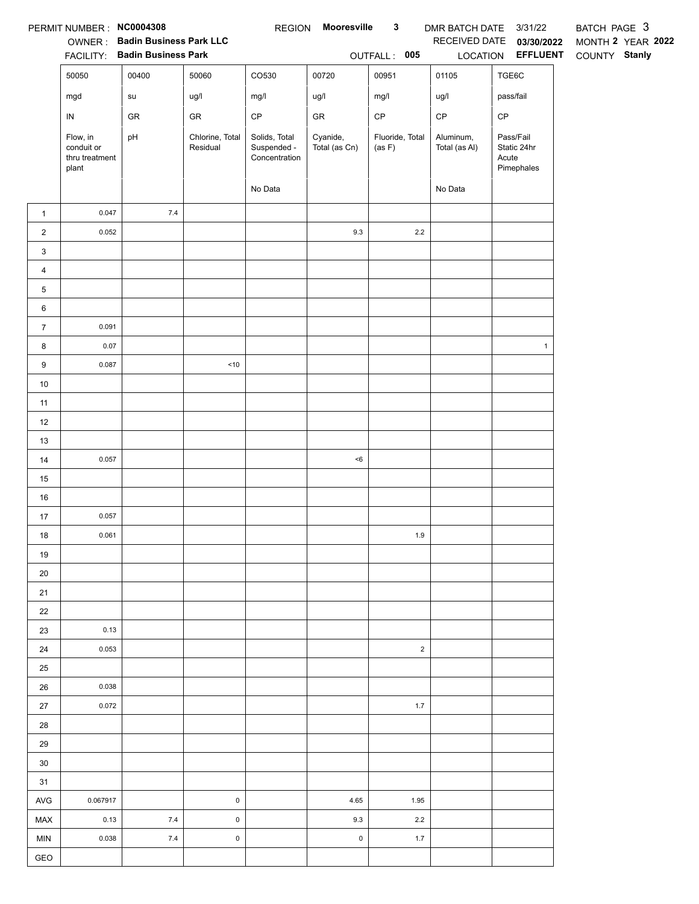|                         | PERMIT NUMBER: NC0004308                          | <b>OWNER: Badin Business Park LLC</b><br>FACILITY: Badin Business Park |                             |                                               | REGION Mooresville        | $\mathbf{3}$<br>OUTFALL: 005 | DMR BATCH DATE 3/31/22<br>LOCATION | RECEIVED DATE 03/30/2022<br><b>EFFLUENT</b>     | BATCH PAGE 3<br>MONTH 2 YEAR 2022<br>COUNTY Stanly |
|-------------------------|---------------------------------------------------|------------------------------------------------------------------------|-----------------------------|-----------------------------------------------|---------------------------|------------------------------|------------------------------------|-------------------------------------------------|----------------------------------------------------|
|                         | 50050                                             | 00400                                                                  | 50060                       | CO530                                         | 00720                     | 00951                        | 01105                              | TGE6C                                           |                                                    |
|                         | mgd                                               | su                                                                     | ug/l                        | mg/l                                          | ug/l                      | mg/l                         | ug/l                               | pass/fail                                       |                                                    |
|                         | ${\sf IN}$                                        | GR                                                                     | GR                          | $\mathsf{CP}$                                 | GR                        | $\mathsf{CP}$                | CP                                 | $\mathsf{CP}$                                   |                                                    |
|                         | Flow, in<br>conduit or<br>thru treatment<br>plant | pH                                                                     | Chlorine, Total<br>Residual | Solids, Total<br>Suspended -<br>Concentration | Cyanide,<br>Total (as Cn) | Fluoride, Total<br>(as F)    | Aluminum,<br>Total (as Al)         | Pass/Fail<br>Static 24hr<br>Acute<br>Pimephales |                                                    |
|                         |                                                   |                                                                        |                             | No Data                                       |                           |                              | No Data                            |                                                 |                                                    |
| $\mathbf{1}$            | 0.047                                             | $7.4$                                                                  |                             |                                               |                           |                              |                                    |                                                 |                                                    |
| $\overline{a}$          | 0.052                                             |                                                                        |                             |                                               | $9.3\,$                   | $2.2\,$                      |                                    |                                                 |                                                    |
| 3                       |                                                   |                                                                        |                             |                                               |                           |                              |                                    |                                                 |                                                    |
| $\overline{\mathbf{4}}$ |                                                   |                                                                        |                             |                                               |                           |                              |                                    |                                                 |                                                    |
| 5                       |                                                   |                                                                        |                             |                                               |                           |                              |                                    |                                                 |                                                    |
| 6                       |                                                   |                                                                        |                             |                                               |                           |                              |                                    |                                                 |                                                    |
| $\boldsymbol{7}$        | 0.091                                             |                                                                        |                             |                                               |                           |                              |                                    |                                                 |                                                    |
| 8                       | 0.07                                              |                                                                        |                             |                                               |                           |                              |                                    | $\mathbf{1}$                                    |                                                    |
| 9                       | 0.087                                             |                                                                        | $<10$                       |                                               |                           |                              |                                    |                                                 |                                                    |
| $10$                    |                                                   |                                                                        |                             |                                               |                           |                              |                                    |                                                 |                                                    |
| 11                      |                                                   |                                                                        |                             |                                               |                           |                              |                                    |                                                 |                                                    |
| 12                      |                                                   |                                                                        |                             |                                               |                           |                              |                                    |                                                 |                                                    |
| 13                      |                                                   |                                                                        |                             |                                               |                           |                              |                                    |                                                 |                                                    |
| 14                      | 0.057                                             |                                                                        |                             |                                               | $<\!6$                    |                              |                                    |                                                 |                                                    |
| 15                      |                                                   |                                                                        |                             |                                               |                           |                              |                                    |                                                 |                                                    |
| 16                      |                                                   |                                                                        |                             |                                               |                           |                              |                                    |                                                 |                                                    |
| 17                      | 0.057                                             |                                                                        |                             |                                               |                           |                              |                                    |                                                 |                                                    |
| 18                      | 0.061                                             |                                                                        |                             |                                               |                           | 1.9                          |                                    |                                                 |                                                    |
| 19                      |                                                   |                                                                        |                             |                                               |                           |                              |                                    |                                                 |                                                    |
| 20                      |                                                   |                                                                        |                             |                                               |                           |                              |                                    |                                                 |                                                    |
| 21                      |                                                   |                                                                        |                             |                                               |                           |                              |                                    |                                                 |                                                    |
| 22                      |                                                   |                                                                        |                             |                                               |                           |                              |                                    |                                                 |                                                    |
| 23                      | 0.13                                              |                                                                        |                             |                                               |                           |                              |                                    |                                                 |                                                    |
| 24                      | 0.053                                             |                                                                        |                             |                                               |                           | $\overline{2}$               |                                    |                                                 |                                                    |
| 25                      |                                                   |                                                                        |                             |                                               |                           |                              |                                    |                                                 |                                                    |
| 26                      | 0.038                                             |                                                                        |                             |                                               |                           |                              |                                    |                                                 |                                                    |
| 27                      | 0.072                                             |                                                                        |                             |                                               |                           | 1.7                          |                                    |                                                 |                                                    |
| 28                      |                                                   |                                                                        |                             |                                               |                           |                              |                                    |                                                 |                                                    |
| 29                      |                                                   |                                                                        |                             |                                               |                           |                              |                                    |                                                 |                                                    |
| $30\,$                  |                                                   |                                                                        |                             |                                               |                           |                              |                                    |                                                 |                                                    |
| 31                      |                                                   |                                                                        |                             |                                               |                           |                              |                                    |                                                 |                                                    |
| AVG                     | 0.067917                                          |                                                                        | $\pmb{0}$                   |                                               | 4.65                      | 1.95                         |                                    |                                                 |                                                    |
| MAX                     | 0.13                                              | 7.4                                                                    | $\mathsf 0$                 |                                               | 9.3                       | $2.2\,$                      |                                    |                                                 |                                                    |
| <b>MIN</b>              | 0.038                                             | $7.4$                                                                  | $\pmb{0}$                   |                                               | $\mathsf{O}\xspace$       | 1.7                          |                                    |                                                 |                                                    |
| GEO                     |                                                   |                                                                        |                             |                                               |                           |                              |                                    |                                                 |                                                    |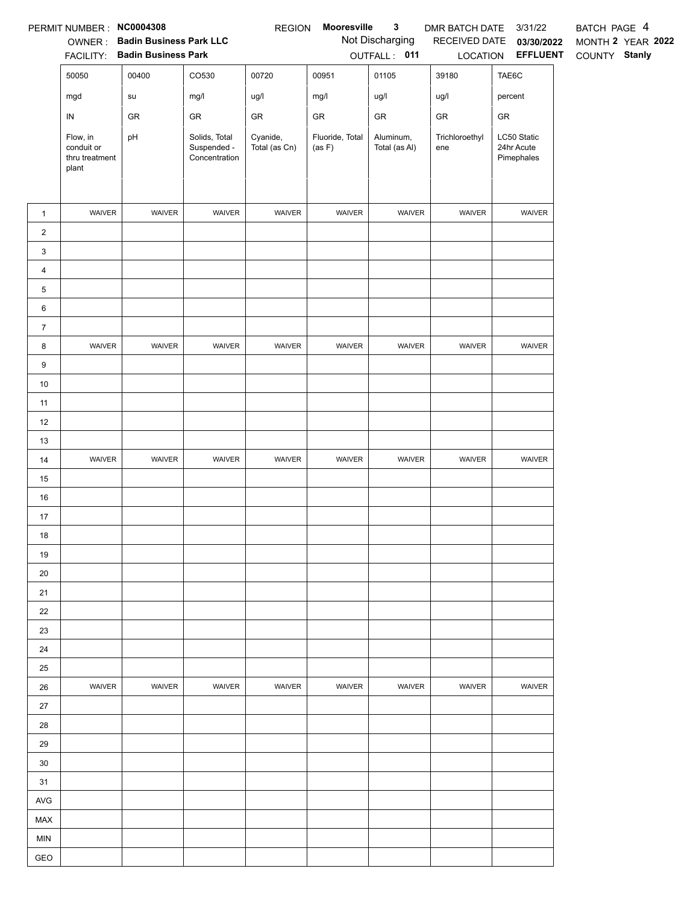|                                | PERMIT NUMBER : NC0004308                         |                                |                                               | <b>REGION</b>             | Mooresville               | $\mathbf{3}$               | DMR BATCH DATE        | 3/31/22                                 | BATCH PAGE 4      |
|--------------------------------|---------------------------------------------------|--------------------------------|-----------------------------------------------|---------------------------|---------------------------|----------------------------|-----------------------|-----------------------------------------|-------------------|
|                                | OWNER:                                            | <b>Badin Business Park LLC</b> |                                               |                           |                           | Not Discharging            | RECEIVED DATE         | 03/30/2022                              | MONTH 2 YEAR 2022 |
|                                | <b>FACILITY:</b>                                  | <b>Badin Business Park</b>     |                                               |                           |                           | OUTFALL: 011               | LOCATION              | <b>EFFLUENT</b>                         | COUNTY Stanly     |
|                                | 50050                                             | 00400                          | CO530                                         | 00720                     | 00951                     | 01105                      | 39180                 | TAE6C                                   |                   |
|                                | mgd                                               | su                             | mg/l                                          | ug/l                      | mg/l                      | ug/l                       | ug/l                  | percent                                 |                   |
|                                | ${\sf IN}$                                        | GR                             | GR                                            | GR                        | ${\sf GR}$                | GR                         | GR                    | GR                                      |                   |
|                                | Flow, in<br>conduit or<br>thru treatment<br>plant | pH                             | Solids, Total<br>Suspended -<br>Concentration | Cyanide,<br>Total (as Cn) | Fluoride, Total<br>(as F) | Aluminum,<br>Total (as Al) | Trichloroethyl<br>ene | LC50 Static<br>24hr Acute<br>Pimephales |                   |
|                                | WAIVER                                            | WAIVER                         | WAIVER                                        | WAIVER                    | WAIVER                    | WAIVER                     | WAIVER                | WAIVER                                  |                   |
| $\mathbf{1}$<br>$\overline{a}$ |                                                   |                                |                                               |                           |                           |                            |                       |                                         |                   |
| 3                              |                                                   |                                |                                               |                           |                           |                            |                       |                                         |                   |
| $\overline{4}$                 |                                                   |                                |                                               |                           |                           |                            |                       |                                         |                   |
| $\overline{5}$                 |                                                   |                                |                                               |                           |                           |                            |                       |                                         |                   |
| 6                              |                                                   |                                |                                               |                           |                           |                            |                       |                                         |                   |
| $\boldsymbol{7}$               |                                                   |                                |                                               |                           |                           |                            |                       |                                         |                   |
| 8                              | WAIVER                                            | WAIVER                         | WAIVER                                        | WAIVER                    | WAIVER                    | WAIVER                     | WAIVER                | WAIVER                                  |                   |
| 9                              |                                                   |                                |                                               |                           |                           |                            |                       |                                         |                   |
| $10$                           |                                                   |                                |                                               |                           |                           |                            |                       |                                         |                   |
| 11                             |                                                   |                                |                                               |                           |                           |                            |                       |                                         |                   |
| 12                             |                                                   |                                |                                               |                           |                           |                            |                       |                                         |                   |
| 13                             |                                                   |                                |                                               |                           |                           |                            |                       |                                         |                   |
| 14                             | WAIVER                                            | WAIVER                         | WAIVER                                        | WAIVER                    | WAIVER                    | WAIVER                     | WAIVER                | WAIVER                                  |                   |
| 15                             |                                                   |                                |                                               |                           |                           |                            |                       |                                         |                   |
| 16                             |                                                   |                                |                                               |                           |                           |                            |                       |                                         |                   |
| 17                             |                                                   |                                |                                               |                           |                           |                            |                       |                                         |                   |
| 18                             |                                                   |                                |                                               |                           |                           |                            |                       |                                         |                   |
| 19                             |                                                   |                                |                                               |                           |                           |                            |                       |                                         |                   |
| 20                             |                                                   |                                |                                               |                           |                           |                            |                       |                                         |                   |
| 21                             |                                                   |                                |                                               |                           |                           |                            |                       |                                         |                   |
| 22                             |                                                   |                                |                                               |                           |                           |                            |                       |                                         |                   |
| 23                             |                                                   |                                |                                               |                           |                           |                            |                       |                                         |                   |
| 24                             |                                                   |                                |                                               |                           |                           |                            |                       |                                         |                   |
| 25                             |                                                   |                                |                                               |                           |                           |                            |                       |                                         |                   |
| 26                             | WAIVER                                            | <b>WAIVER</b>                  | <b>WAIVER</b>                                 | <b>WAIVER</b>             | WAIVER                    | <b>WAIVER</b>              | <b>WAIVER</b>         | <b>WAIVER</b>                           |                   |
| 27                             |                                                   |                                |                                               |                           |                           |                            |                       |                                         |                   |
| 28                             |                                                   |                                |                                               |                           |                           |                            |                       |                                         |                   |
| 29                             |                                                   |                                |                                               |                           |                           |                            |                       |                                         |                   |
| 30                             |                                                   |                                |                                               |                           |                           |                            |                       |                                         |                   |
| 31                             |                                                   |                                |                                               |                           |                           |                            |                       |                                         |                   |
| AVG                            |                                                   |                                |                                               |                           |                           |                            |                       |                                         |                   |
| MAX                            |                                                   |                                |                                               |                           |                           |                            |                       |                                         |                   |
| <b>MIN</b>                     |                                                   |                                |                                               |                           |                           |                            |                       |                                         |                   |
| GEO                            |                                                   |                                |                                               |                           |                           |                            |                       |                                         |                   |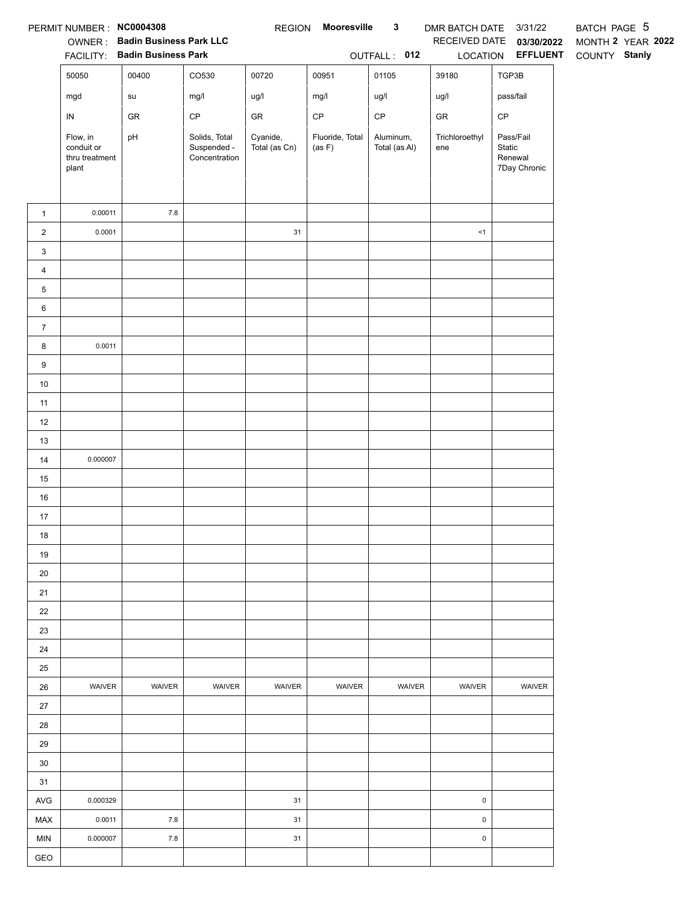|                  | PERMIT NUMBER: NC0004308                          | OWNER: Badin Business Park LLC<br>FACILITY: Badin Business Park |                                               |                           | REGION Mooresville        | $\mathbf{3}$<br>OUTFALL: 012 | DMR BATCH DATE 3/31/22<br>LOCATION | RECEIVED DATE 03/30/2022<br><b>EFFLUENT</b>    | BATCH PAGE 5<br>MONTH 2 YEAR 2022<br>COUNTY Stanly |
|------------------|---------------------------------------------------|-----------------------------------------------------------------|-----------------------------------------------|---------------------------|---------------------------|------------------------------|------------------------------------|------------------------------------------------|----------------------------------------------------|
|                  | 50050                                             | 00400                                                           | CO530                                         | 00720                     | 00951                     | 01105                        | 39180                              | TGP3B                                          |                                                    |
|                  | mgd                                               | su                                                              | mg/l                                          | ug/l                      | mg/l                      | ug/l                         | ug/l                               | pass/fail                                      |                                                    |
|                  | ${\sf IN}$                                        | GR                                                              | $\mathsf{CP}$                                 | ${\sf GR}$                | $\mathsf{CP}$             | $\mathsf{CP}$                | ${\sf GR}$                         | $\mathsf{CP}$                                  |                                                    |
|                  | Flow, in<br>conduit or<br>thru treatment<br>plant | pH                                                              | Solids, Total<br>Suspended -<br>Concentration | Cyanide,<br>Total (as Cn) | Fluoride, Total<br>(as F) | Aluminum,<br>Total (as Al)   | Trichloroethyl<br>ene              | Pass/Fail<br>Static<br>Renewal<br>7Day Chronic |                                                    |
| $\mathbf{1}$     | 0.00011                                           | $7.8\,$                                                         |                                               |                           |                           |                              |                                    |                                                |                                                    |
| $\overline{a}$   | 0.0001                                            |                                                                 |                                               | 31                        |                           |                              | $\leq$ 1                           |                                                |                                                    |
| 3                |                                                   |                                                                 |                                               |                           |                           |                              |                                    |                                                |                                                    |
| $\overline{4}$   |                                                   |                                                                 |                                               |                           |                           |                              |                                    |                                                |                                                    |
| 5                |                                                   |                                                                 |                                               |                           |                           |                              |                                    |                                                |                                                    |
| 6                |                                                   |                                                                 |                                               |                           |                           |                              |                                    |                                                |                                                    |
| $\boldsymbol{7}$ |                                                   |                                                                 |                                               |                           |                           |                              |                                    |                                                |                                                    |
| 8                | 0.0011                                            |                                                                 |                                               |                           |                           |                              |                                    |                                                |                                                    |
| 9                |                                                   |                                                                 |                                               |                           |                           |                              |                                    |                                                |                                                    |
| 10               |                                                   |                                                                 |                                               |                           |                           |                              |                                    |                                                |                                                    |
| 11               |                                                   |                                                                 |                                               |                           |                           |                              |                                    |                                                |                                                    |
| 12               |                                                   |                                                                 |                                               |                           |                           |                              |                                    |                                                |                                                    |
| 13               |                                                   |                                                                 |                                               |                           |                           |                              |                                    |                                                |                                                    |
| 14               | 0.000007                                          |                                                                 |                                               |                           |                           |                              |                                    |                                                |                                                    |
| 15               |                                                   |                                                                 |                                               |                           |                           |                              |                                    |                                                |                                                    |
| 16               |                                                   |                                                                 |                                               |                           |                           |                              |                                    |                                                |                                                    |
| 17               |                                                   |                                                                 |                                               |                           |                           |                              |                                    |                                                |                                                    |
| 18               |                                                   |                                                                 |                                               |                           |                           |                              |                                    |                                                |                                                    |
| 19               |                                                   |                                                                 |                                               |                           |                           |                              |                                    |                                                |                                                    |
| 20               |                                                   |                                                                 |                                               |                           |                           |                              |                                    |                                                |                                                    |
| 21               |                                                   |                                                                 |                                               |                           |                           |                              |                                    |                                                |                                                    |
| 22               |                                                   |                                                                 |                                               |                           |                           |                              |                                    |                                                |                                                    |
| 23               |                                                   |                                                                 |                                               |                           |                           |                              |                                    |                                                |                                                    |
| 24               |                                                   |                                                                 |                                               |                           |                           |                              |                                    |                                                |                                                    |
| 25               |                                                   |                                                                 |                                               |                           |                           |                              |                                    |                                                |                                                    |
| 26               | WAIVER                                            | WAIVER                                                          | WAIVER                                        | WAIVER                    | WAIVER                    | WAIVER                       | WAIVER                             | WAIVER                                         |                                                    |
| 27               |                                                   |                                                                 |                                               |                           |                           |                              |                                    |                                                |                                                    |
| 28               |                                                   |                                                                 |                                               |                           |                           |                              |                                    |                                                |                                                    |
| 29               |                                                   |                                                                 |                                               |                           |                           |                              |                                    |                                                |                                                    |
| 30               |                                                   |                                                                 |                                               |                           |                           |                              |                                    |                                                |                                                    |
| 31               |                                                   |                                                                 |                                               |                           |                           |                              |                                    |                                                |                                                    |
| AVG              | 0.000329                                          |                                                                 |                                               | 31                        |                           |                              | $\pmb{0}$                          |                                                |                                                    |
| MAX              | 0.0011                                            | $7.8\,$                                                         |                                               | 31                        |                           |                              | $\mathsf{O}\xspace$                |                                                |                                                    |
| <b>MIN</b>       | 0.000007                                          | $7.8\,$                                                         |                                               | 31                        |                           |                              | $\pmb{0}$                          |                                                |                                                    |
| GEO              |                                                   |                                                                 |                                               |                           |                           |                              |                                    |                                                |                                                    |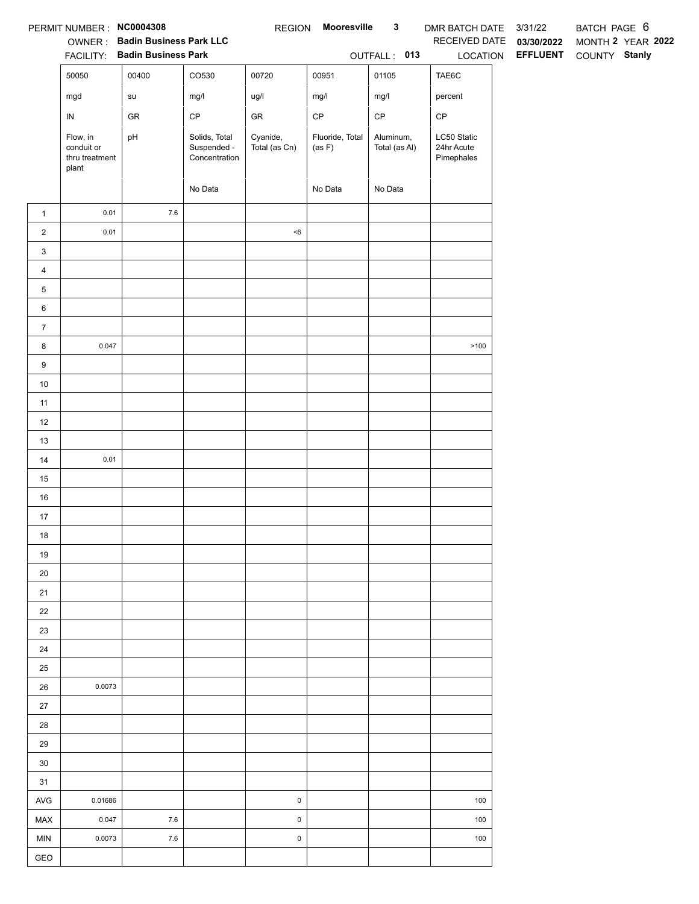|                 | PERMIT NUMBER: NC0004308                          |                                                                 |                                               | <b>REGION</b>             | Mooresville               | $\mathbf{3}$               | DMR BATCH DATE 3/31/22                  |                 | BATCH PAGE 6      |  |
|-----------------|---------------------------------------------------|-----------------------------------------------------------------|-----------------------------------------------|---------------------------|---------------------------|----------------------------|-----------------------------------------|-----------------|-------------------|--|
|                 |                                                   | OWNER: Badin Business Park LLC<br>FACILITY: Badin Business Park |                                               |                           |                           |                            | RECEIVED DATE                           | 03/30/2022      | MONTH 2 YEAR 2022 |  |
|                 |                                                   |                                                                 |                                               |                           |                           | OUTFALL: 013               | LOCATION                                | <b>EFFLUENT</b> | COUNTY Stanly     |  |
|                 | 50050                                             | 00400                                                           | CO530                                         | 00720                     | 00951                     | 01105                      | TAE6C                                   |                 |                   |  |
|                 | mgd                                               | su                                                              | mg/l                                          | ug/l                      | mg/l                      | mg/l                       | percent                                 |                 |                   |  |
|                 | ${\sf IN}$                                        | GR                                                              | $\mathsf{CP}$                                 | ${\sf GR}$                | $\mathsf{CP}$             | $\mathsf{CP}$              | $\mathsf{CP}$                           |                 |                   |  |
|                 | Flow, in<br>conduit or<br>thru treatment<br>plant | pH                                                              | Solids, Total<br>Suspended -<br>Concentration | Cyanide,<br>Total (as Cn) | Fluoride, Total<br>(as F) | Aluminum,<br>Total (as Al) | LC50 Static<br>24hr Acute<br>Pimephales |                 |                   |  |
|                 |                                                   |                                                                 | No Data                                       |                           | No Data                   | No Data                    |                                         |                 |                   |  |
| $\mathbf{1}$    | 0.01                                              | $7.6\,$                                                         |                                               |                           |                           |                            |                                         |                 |                   |  |
| $\overline{a}$  | 0.01                                              |                                                                 |                                               | $<\!6$                    |                           |                            |                                         |                 |                   |  |
| $\mathbf{3}$    |                                                   |                                                                 |                                               |                           |                           |                            |                                         |                 |                   |  |
| $\overline{4}$  |                                                   |                                                                 |                                               |                           |                           |                            |                                         |                 |                   |  |
| $5\phantom{.0}$ |                                                   |                                                                 |                                               |                           |                           |                            |                                         |                 |                   |  |
| $6\phantom{.0}$ |                                                   |                                                                 |                                               |                           |                           |                            |                                         |                 |                   |  |
| $\overline{7}$  |                                                   |                                                                 |                                               |                           |                           |                            |                                         |                 |                   |  |
| 8               | 0.047                                             |                                                                 |                                               |                           |                           |                            | >100                                    |                 |                   |  |
| 9               |                                                   |                                                                 |                                               |                           |                           |                            |                                         |                 |                   |  |
| $10$            |                                                   |                                                                 |                                               |                           |                           |                            |                                         |                 |                   |  |
| 11              |                                                   |                                                                 |                                               |                           |                           |                            |                                         |                 |                   |  |
| 12              |                                                   |                                                                 |                                               |                           |                           |                            |                                         |                 |                   |  |
| 13              |                                                   |                                                                 |                                               |                           |                           |                            |                                         |                 |                   |  |
| 14              | 0.01                                              |                                                                 |                                               |                           |                           |                            |                                         |                 |                   |  |
| 15              |                                                   |                                                                 |                                               |                           |                           |                            |                                         |                 |                   |  |
| $16\,$          |                                                   |                                                                 |                                               |                           |                           |                            |                                         |                 |                   |  |
| 17              |                                                   |                                                                 |                                               |                           |                           |                            |                                         |                 |                   |  |
| 18              |                                                   |                                                                 |                                               |                           |                           |                            |                                         |                 |                   |  |
| 19              |                                                   |                                                                 |                                               |                           |                           |                            |                                         |                 |                   |  |
| 20              |                                                   |                                                                 |                                               |                           |                           |                            |                                         |                 |                   |  |
| 21              |                                                   |                                                                 |                                               |                           |                           |                            |                                         |                 |                   |  |
| 22              |                                                   |                                                                 |                                               |                           |                           |                            |                                         |                 |                   |  |
| 23              |                                                   |                                                                 |                                               |                           |                           |                            |                                         |                 |                   |  |
| 24              |                                                   |                                                                 |                                               |                           |                           |                            |                                         |                 |                   |  |
| 25              |                                                   |                                                                 |                                               |                           |                           |                            |                                         |                 |                   |  |
| 26              | 0.0073                                            |                                                                 |                                               |                           |                           |                            |                                         |                 |                   |  |
| 27              |                                                   |                                                                 |                                               |                           |                           |                            |                                         |                 |                   |  |
| 28              |                                                   |                                                                 |                                               |                           |                           |                            |                                         |                 |                   |  |
| 29              |                                                   |                                                                 |                                               |                           |                           |                            |                                         |                 |                   |  |
| $30\,$          |                                                   |                                                                 |                                               |                           |                           |                            |                                         |                 |                   |  |
| 31              |                                                   |                                                                 |                                               |                           |                           |                            |                                         |                 |                   |  |
| AVG             | 0.01686                                           |                                                                 |                                               | $\mathsf 0$               |                           |                            | 100                                     |                 |                   |  |
| MAX             | 0.047                                             | 7.6                                                             |                                               | $\mathsf 0$               |                           |                            | 100                                     |                 |                   |  |
| <b>MIN</b>      | 0.0073                                            | 7.6                                                             |                                               | $\pmb{0}$                 |                           |                            | 100                                     |                 |                   |  |
| GEO             |                                                   |                                                                 |                                               |                           |                           |                            |                                         |                 |                   |  |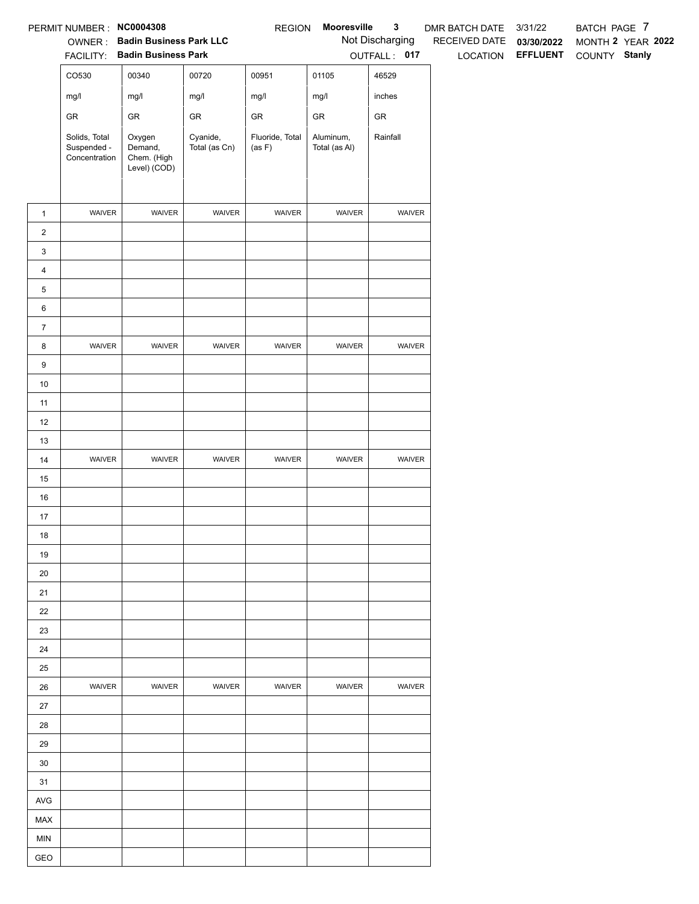|                | PERMIT NUMBER: NC0004308                      |                                                  |                           | <b>REGION</b>             | Mooresville                | $\mathbf{3}$    | DMR BATCH DATE           | 3/31/22                         | BATCH PAGE 7 |                   |
|----------------|-----------------------------------------------|--------------------------------------------------|---------------------------|---------------------------|----------------------------|-----------------|--------------------------|---------------------------------|--------------|-------------------|
|                |                                               | OWNER: Badin Business Park LLC                   |                           |                           |                            | Not Discharging | RECEIVED DATE 03/30/2022 |                                 |              | MONTH 2 YEAR 2022 |
|                |                                               | FACILITY: Badin Business Park                    |                           |                           |                            | OUTFALL: 017    |                          | LOCATION EFFLUENT COUNTY Stanly |              |                   |
|                | CO530                                         | 00340                                            | 00720                     | 00951                     | 01105                      | 46529           |                          |                                 |              |                   |
|                | mg/l                                          | mg/l                                             | mg/l                      | mg/l                      | mg/l                       | inches          |                          |                                 |              |                   |
|                | ${\sf GR}$                                    | GR                                               | ${\sf GR}$                | ${\sf GR}$                | ${\sf GR}$                 | ${\sf GR}$      |                          |                                 |              |                   |
|                | Solids, Total<br>Suspended -<br>Concentration | Oxygen<br>Demand,<br>Chem. (High<br>Level) (COD) | Cyanide,<br>Total (as Cn) | Fluoride, Total<br>(as F) | Aluminum,<br>Total (as Al) | Rainfall        |                          |                                 |              |                   |
| $\mathbf{1}$   | WAIVER                                        | WAIVER                                           | WAIVER                    | WAIVER                    | WAIVER                     | WAIVER          |                          |                                 |              |                   |
| $\overline{2}$ |                                               |                                                  |                           |                           |                            |                 |                          |                                 |              |                   |
| $\mathbf{3}$   |                                               |                                                  |                           |                           |                            |                 |                          |                                 |              |                   |
| $\overline{4}$ |                                               |                                                  |                           |                           |                            |                 |                          |                                 |              |                   |
| $\,$ 5 $\,$    |                                               |                                                  |                           |                           |                            |                 |                          |                                 |              |                   |
| 6              |                                               |                                                  |                           |                           |                            |                 |                          |                                 |              |                   |
| $\overline{7}$ |                                               |                                                  |                           |                           |                            |                 |                          |                                 |              |                   |
| 8              | WAIVER                                        | WAIVER                                           | WAIVER                    | WAIVER                    | WAIVER                     | WAIVER          |                          |                                 |              |                   |
| $9\,$          |                                               |                                                  |                           |                           |                            |                 |                          |                                 |              |                   |
| 10             |                                               |                                                  |                           |                           |                            |                 |                          |                                 |              |                   |
| 11             |                                               |                                                  |                           |                           |                            |                 |                          |                                 |              |                   |
| 12             |                                               |                                                  |                           |                           |                            |                 |                          |                                 |              |                   |
| 13             | WAIVER                                        | WAIVER                                           | WAIVER                    | WAIVER                    | WAIVER                     | WAIVER          |                          |                                 |              |                   |
| 14<br>15       |                                               |                                                  |                           |                           |                            |                 |                          |                                 |              |                   |
| 16             |                                               |                                                  |                           |                           |                            |                 |                          |                                 |              |                   |
| 17             |                                               |                                                  |                           |                           |                            |                 |                          |                                 |              |                   |
| 18             |                                               |                                                  |                           |                           |                            |                 |                          |                                 |              |                   |
| 19             |                                               |                                                  |                           |                           |                            |                 |                          |                                 |              |                   |
| 20             |                                               |                                                  |                           |                           |                            |                 |                          |                                 |              |                   |
| 21             |                                               |                                                  |                           |                           |                            |                 |                          |                                 |              |                   |
| 22             |                                               |                                                  |                           |                           |                            |                 |                          |                                 |              |                   |
| 23             |                                               |                                                  |                           |                           |                            |                 |                          |                                 |              |                   |
| 24             |                                               |                                                  |                           |                           |                            |                 |                          |                                 |              |                   |
| 25             |                                               |                                                  |                           |                           |                            |                 |                          |                                 |              |                   |
| 26             | <b>WAIVER</b>                                 | WAIVER                                           | <b>WAIVER</b>             | WAIVER                    | <b>WAIVER</b>              | <b>WAIVER</b>   |                          |                                 |              |                   |
| 27             |                                               |                                                  |                           |                           |                            |                 |                          |                                 |              |                   |
| 28             |                                               |                                                  |                           |                           |                            |                 |                          |                                 |              |                   |
| 29             |                                               |                                                  |                           |                           |                            |                 |                          |                                 |              |                   |
| 30             |                                               |                                                  |                           |                           |                            |                 |                          |                                 |              |                   |
| 31<br>AVG      |                                               |                                                  |                           |                           |                            |                 |                          |                                 |              |                   |
| MAX            |                                               |                                                  |                           |                           |                            |                 |                          |                                 |              |                   |
| <b>MIN</b>     |                                               |                                                  |                           |                           |                            |                 |                          |                                 |              |                   |
| GEO            |                                               |                                                  |                           |                           |                            |                 |                          |                                 |              |                   |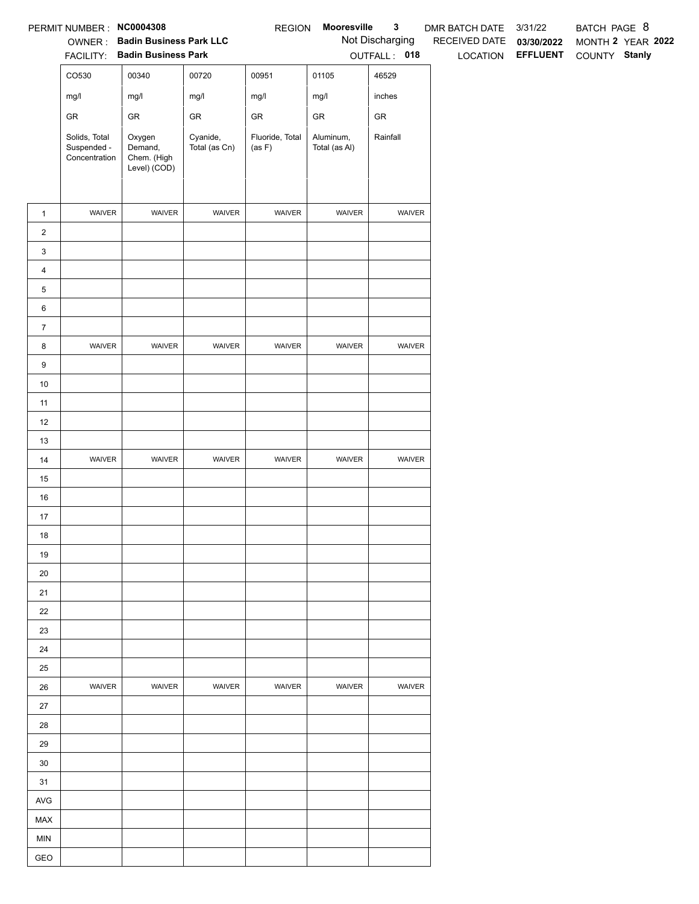|                   | PERMIT NUMBER: NC0004308                      |                                                  |                           | <b>REGION</b>             | Mooresville                | $\mathbf{3}$    | DMR BATCH DATE 3/31/22   |                   | BATCH PAGE 8      |
|-------------------|-----------------------------------------------|--------------------------------------------------|---------------------------|---------------------------|----------------------------|-----------------|--------------------------|-------------------|-------------------|
|                   |                                               | OWNER: Badin Business Park LLC                   |                           |                           |                            | Not Discharging | RECEIVED DATE 03/30/2022 |                   | MONTH 2 YEAR 2022 |
|                   |                                               | FACILITY: Badin Business Park                    |                           |                           |                            | OUTFALL: 018    |                          | LOCATION EFFLUENT | COUNTY Stanly     |
|                   | CO530                                         | 00340                                            | 00720                     | 00951                     | 01105                      | 46529           |                          |                   |                   |
|                   | mg/l                                          | mg/l                                             | mg/l                      | mg/l                      | mg/l                       | inches          |                          |                   |                   |
|                   | ${\sf GR}$                                    | GR                                               | GR                        | ${\sf GR}$                | GR                         | ${\sf GR}$      |                          |                   |                   |
|                   | Solids, Total<br>Suspended -<br>Concentration | Oxygen<br>Demand,<br>Chem. (High<br>Level) (COD) | Cyanide,<br>Total (as Cn) | Fluoride, Total<br>(as F) | Aluminum,<br>Total (as Al) | Rainfall        |                          |                   |                   |
| $\mathbf{1}$      | WAIVER                                        | WAIVER                                           | WAIVER                    | WAIVER                    | WAIVER                     | WAIVER          |                          |                   |                   |
| $\overline{2}$    |                                               |                                                  |                           |                           |                            |                 |                          |                   |                   |
| 3                 |                                               |                                                  |                           |                           |                            |                 |                          |                   |                   |
| $\overline{4}$    |                                               |                                                  |                           |                           |                            |                 |                          |                   |                   |
| 5                 |                                               |                                                  |                           |                           |                            |                 |                          |                   |                   |
| 6                 |                                               |                                                  |                           |                           |                            |                 |                          |                   |                   |
| $\overline{7}$    |                                               |                                                  |                           |                           |                            |                 |                          |                   |                   |
| 8                 | WAIVER                                        | WAIVER                                           | WAIVER                    | WAIVER                    | WAIVER                     | WAIVER          |                          |                   |                   |
| 9                 |                                               |                                                  |                           |                           |                            |                 |                          |                   |                   |
| 10                |                                               |                                                  |                           |                           |                            |                 |                          |                   |                   |
| 11                |                                               |                                                  |                           |                           |                            |                 |                          |                   |                   |
| 12                |                                               |                                                  |                           |                           |                            |                 |                          |                   |                   |
| 13                |                                               |                                                  |                           |                           |                            |                 |                          |                   |                   |
| 14                | WAIVER                                        | WAIVER                                           | WAIVER                    | WAIVER                    | WAIVER                     | WAIVER          |                          |                   |                   |
| 15                |                                               |                                                  |                           |                           |                            |                 |                          |                   |                   |
| 16                |                                               |                                                  |                           |                           |                            |                 |                          |                   |                   |
| 17                |                                               |                                                  |                           |                           |                            |                 |                          |                   |                   |
| 18                |                                               |                                                  |                           |                           |                            |                 |                          |                   |                   |
| 19                |                                               |                                                  |                           |                           |                            |                 |                          |                   |                   |
| 20                |                                               |                                                  |                           |                           |                            |                 |                          |                   |                   |
| 21                |                                               |                                                  |                           |                           |                            |                 |                          |                   |                   |
| 22                |                                               |                                                  |                           |                           |                            |                 |                          |                   |                   |
| 23                |                                               |                                                  |                           |                           |                            |                 |                          |                   |                   |
| 24                |                                               |                                                  |                           |                           |                            |                 |                          |                   |                   |
| 25                |                                               |                                                  |                           |                           |                            |                 |                          |                   |                   |
| 26                | WAIVER                                        | WAIVER                                           | WAIVER                    | WAIVER                    | WAIVER                     | WAIVER          |                          |                   |                   |
| 27                |                                               |                                                  |                           |                           |                            |                 |                          |                   |                   |
| 28                |                                               |                                                  |                           |                           |                            |                 |                          |                   |                   |
| 29                |                                               |                                                  |                           |                           |                            |                 |                          |                   |                   |
| 30                |                                               |                                                  |                           |                           |                            |                 |                          |                   |                   |
| 31                |                                               |                                                  |                           |                           |                            |                 |                          |                   |                   |
| <b>AVG</b>        |                                               |                                                  |                           |                           |                            |                 |                          |                   |                   |
| MAX               |                                               |                                                  |                           |                           |                            |                 |                          |                   |                   |
| <b>MIN</b><br>GEO |                                               |                                                  |                           |                           |                            |                 |                          |                   |                   |
|                   |                                               |                                                  |                           |                           |                            |                 |                          |                   |                   |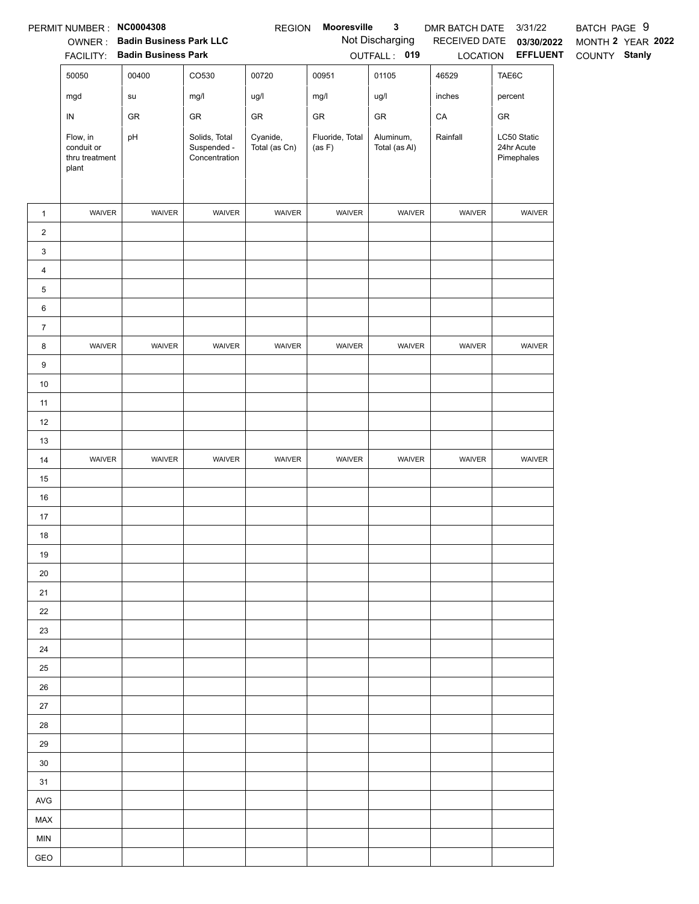|                 | PERMIT NUMBER : NC0004308                         |                                |                                               | <b>REGION</b>             | Mooresville               | $\mathbf{3}$               | DMR BATCH DATE | 3/31/22                                 | BATCH PAGE 9      |
|-----------------|---------------------------------------------------|--------------------------------|-----------------------------------------------|---------------------------|---------------------------|----------------------------|----------------|-----------------------------------------|-------------------|
|                 | OWNER:                                            | <b>Badin Business Park LLC</b> |                                               |                           |                           | Not Discharging            | RECEIVED DATE  | 03/30/2022                              | MONTH 2 YEAR 2022 |
|                 |                                                   | FACILITY: Badin Business Park  |                                               |                           |                           | OUTFALL: 019               |                | LOCATION <b>EFFLUENT</b>                | COUNTY Stanly     |
|                 | 50050                                             | 00400                          | CO530                                         | 00720                     | 00951                     | 01105                      | 46529          | TAE6C                                   |                   |
|                 | mgd                                               | su                             | mg/l                                          | ug/l                      | mg/l                      | ug/l                       | inches         | percent                                 |                   |
|                 | ${\sf IN}$                                        | GR                             | GR                                            | ${\sf GR}$                | ${\sf GR}$                | ${\sf GR}$                 | CA             | ${\sf GR}$                              |                   |
|                 | Flow, in<br>conduit or<br>thru treatment<br>plant | pH                             | Solids, Total<br>Suspended -<br>Concentration | Cyanide,<br>Total (as Cn) | Fluoride, Total<br>(as F) | Aluminum,<br>Total (as Al) | Rainfall       | LC50 Static<br>24hr Acute<br>Pimephales |                   |
| $\mathbf{1}$    | WAIVER                                            | WAIVER                         | WAIVER                                        | WAIVER                    | WAIVER                    | WAIVER                     | WAIVER         | WAIVER                                  |                   |
| $\overline{2}$  |                                                   |                                |                                               |                           |                           |                            |                |                                         |                   |
| $\mathbf{3}$    |                                                   |                                |                                               |                           |                           |                            |                |                                         |                   |
| $\overline{4}$  |                                                   |                                |                                               |                           |                           |                            |                |                                         |                   |
| $5\phantom{.0}$ |                                                   |                                |                                               |                           |                           |                            |                |                                         |                   |
| $\,6\,$         |                                                   |                                |                                               |                           |                           |                            |                |                                         |                   |
| $\overline{7}$  |                                                   |                                |                                               |                           |                           |                            |                |                                         |                   |
| 8               | WAIVER                                            | WAIVER                         | WAIVER                                        | WAIVER                    | WAIVER                    | WAIVER                     | WAIVER         | WAIVER                                  |                   |
| 9               |                                                   |                                |                                               |                           |                           |                            |                |                                         |                   |
| 10              |                                                   |                                |                                               |                           |                           |                            |                |                                         |                   |
| 11              |                                                   |                                |                                               |                           |                           |                            |                |                                         |                   |
| 12              |                                                   |                                |                                               |                           |                           |                            |                |                                         |                   |
| 13              |                                                   |                                |                                               |                           |                           |                            |                |                                         |                   |
| 14              | WAIVER                                            | WAIVER                         | WAIVER                                        | WAIVER                    | WAIVER                    | WAIVER                     | WAIVER         | WAIVER                                  |                   |
| 15              |                                                   |                                |                                               |                           |                           |                            |                |                                         |                   |
| $16\,$          |                                                   |                                |                                               |                           |                           |                            |                |                                         |                   |
| 17              |                                                   |                                |                                               |                           |                           |                            |                |                                         |                   |
| $18$            |                                                   |                                |                                               |                           |                           |                            |                |                                         |                   |
| 19              |                                                   |                                |                                               |                           |                           |                            |                |                                         |                   |
| 20              |                                                   |                                |                                               |                           |                           |                            |                |                                         |                   |
| 21              |                                                   |                                |                                               |                           |                           |                            |                |                                         |                   |
| 22              |                                                   |                                |                                               |                           |                           |                            |                |                                         |                   |
| 23              |                                                   |                                |                                               |                           |                           |                            |                |                                         |                   |
| 24              |                                                   |                                |                                               |                           |                           |                            |                |                                         |                   |
| 25              |                                                   |                                |                                               |                           |                           |                            |                |                                         |                   |
| 26              |                                                   |                                |                                               |                           |                           |                            |                |                                         |                   |
| 27              |                                                   |                                |                                               |                           |                           |                            |                |                                         |                   |
| 28              |                                                   |                                |                                               |                           |                           |                            |                |                                         |                   |
| 29<br>30        |                                                   |                                |                                               |                           |                           |                            |                |                                         |                   |
| 31              |                                                   |                                |                                               |                           |                           |                            |                |                                         |                   |
| AVG             |                                                   |                                |                                               |                           |                           |                            |                |                                         |                   |
| MAX             |                                                   |                                |                                               |                           |                           |                            |                |                                         |                   |
| <b>MIN</b>      |                                                   |                                |                                               |                           |                           |                            |                |                                         |                   |
| GEO             |                                                   |                                |                                               |                           |                           |                            |                |                                         |                   |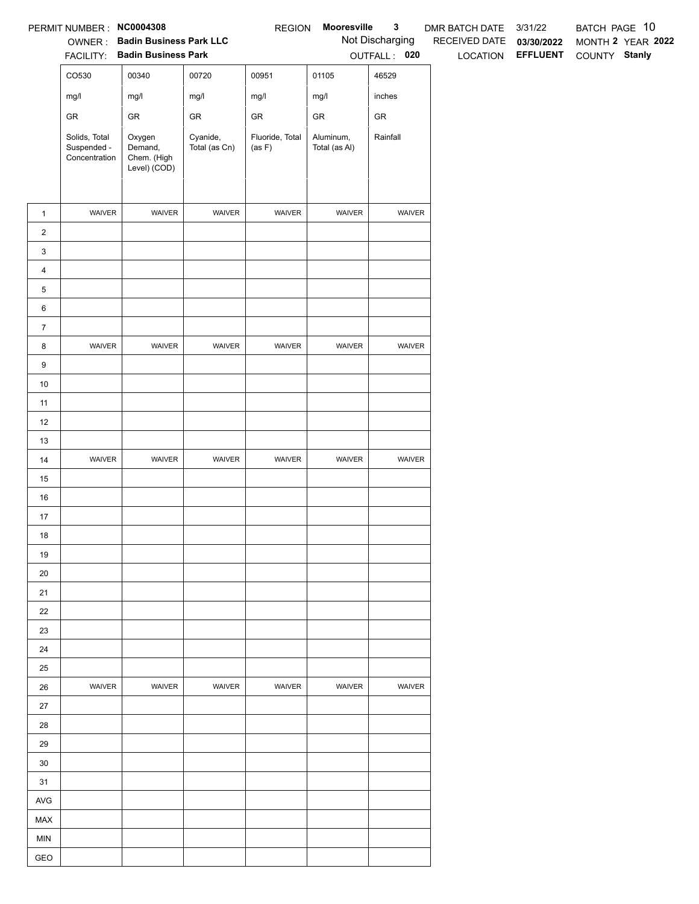|                | PERMIT NUMBER: NC0004308                      |                                                  |                           | <b>REGION</b>             | Mooresville                | $\mathbf{3}$    | DMR BATCH DATE           | 3/31/22                         | BATCH PAGE 10 |                   |
|----------------|-----------------------------------------------|--------------------------------------------------|---------------------------|---------------------------|----------------------------|-----------------|--------------------------|---------------------------------|---------------|-------------------|
|                |                                               | OWNER: Badin Business Park LLC                   |                           |                           |                            | Not Discharging | RECEIVED DATE 03/30/2022 |                                 |               | MONTH 2 YEAR 2022 |
|                |                                               | FACILITY: Badin Business Park                    |                           |                           |                            | OUTFALL: 020    |                          | LOCATION EFFLUENT COUNTY Stanly |               |                   |
|                | CO530                                         | 00340                                            | 00720                     | 00951                     | 01105                      | 46529           |                          |                                 |               |                   |
|                | mg/l                                          | mg/l                                             | mg/l                      | mg/l                      | mg/l                       | inches          |                          |                                 |               |                   |
|                | ${\sf GR}$                                    | GR                                               | ${\sf GR}$                | ${\sf GR}$                | ${\sf GR}$                 | ${\sf GR}$      |                          |                                 |               |                   |
|                | Solids, Total<br>Suspended -<br>Concentration | Oxygen<br>Demand,<br>Chem. (High<br>Level) (COD) | Cyanide,<br>Total (as Cn) | Fluoride, Total<br>(as F) | Aluminum,<br>Total (as Al) | Rainfall        |                          |                                 |               |                   |
| $\mathbf{1}$   | WAIVER                                        | WAIVER                                           | WAIVER                    | WAIVER                    | WAIVER                     | WAIVER          |                          |                                 |               |                   |
| $\overline{2}$ |                                               |                                                  |                           |                           |                            |                 |                          |                                 |               |                   |
| $\mathbf{3}$   |                                               |                                                  |                           |                           |                            |                 |                          |                                 |               |                   |
| $\overline{4}$ |                                               |                                                  |                           |                           |                            |                 |                          |                                 |               |                   |
| $\,$ 5 $\,$    |                                               |                                                  |                           |                           |                            |                 |                          |                                 |               |                   |
| 6              |                                               |                                                  |                           |                           |                            |                 |                          |                                 |               |                   |
| $\overline{7}$ |                                               |                                                  |                           |                           |                            |                 |                          |                                 |               |                   |
| 8              | WAIVER                                        | WAIVER                                           | WAIVER                    | WAIVER                    | WAIVER                     | WAIVER          |                          |                                 |               |                   |
| $9\,$          |                                               |                                                  |                           |                           |                            |                 |                          |                                 |               |                   |
| 10             |                                               |                                                  |                           |                           |                            |                 |                          |                                 |               |                   |
| 11             |                                               |                                                  |                           |                           |                            |                 |                          |                                 |               |                   |
| 12             |                                               |                                                  |                           |                           |                            |                 |                          |                                 |               |                   |
| 13             |                                               |                                                  |                           |                           |                            |                 |                          |                                 |               |                   |
| 14             | WAIVER                                        | WAIVER                                           | WAIVER                    | WAIVER                    | WAIVER                     | WAIVER          |                          |                                 |               |                   |
| 15             |                                               |                                                  |                           |                           |                            |                 |                          |                                 |               |                   |
| 16             |                                               |                                                  |                           |                           |                            |                 |                          |                                 |               |                   |
| 17             |                                               |                                                  |                           |                           |                            |                 |                          |                                 |               |                   |
| 18             |                                               |                                                  |                           |                           |                            |                 |                          |                                 |               |                   |
| 19             |                                               |                                                  |                           |                           |                            |                 |                          |                                 |               |                   |
| 20             |                                               |                                                  |                           |                           |                            |                 |                          |                                 |               |                   |
| 21             |                                               |                                                  |                           |                           |                            |                 |                          |                                 |               |                   |
| 22             |                                               |                                                  |                           |                           |                            |                 |                          |                                 |               |                   |
| 23             |                                               |                                                  |                           |                           |                            |                 |                          |                                 |               |                   |
| 24<br>25       |                                               |                                                  |                           |                           |                            |                 |                          |                                 |               |                   |
| 26             | <b>WAIVER</b>                                 | WAIVER                                           | <b>WAIVER</b>             | WAIVER                    | <b>WAIVER</b>              | <b>WAIVER</b>   |                          |                                 |               |                   |
| 27             |                                               |                                                  |                           |                           |                            |                 |                          |                                 |               |                   |
| 28             |                                               |                                                  |                           |                           |                            |                 |                          |                                 |               |                   |
| 29             |                                               |                                                  |                           |                           |                            |                 |                          |                                 |               |                   |
| 30             |                                               |                                                  |                           |                           |                            |                 |                          |                                 |               |                   |
| 31             |                                               |                                                  |                           |                           |                            |                 |                          |                                 |               |                   |
| AVG            |                                               |                                                  |                           |                           |                            |                 |                          |                                 |               |                   |
| MAX            |                                               |                                                  |                           |                           |                            |                 |                          |                                 |               |                   |
| <b>MIN</b>     |                                               |                                                  |                           |                           |                            |                 |                          |                                 |               |                   |
| GEO            |                                               |                                                  |                           |                           |                            |                 |                          |                                 |               |                   |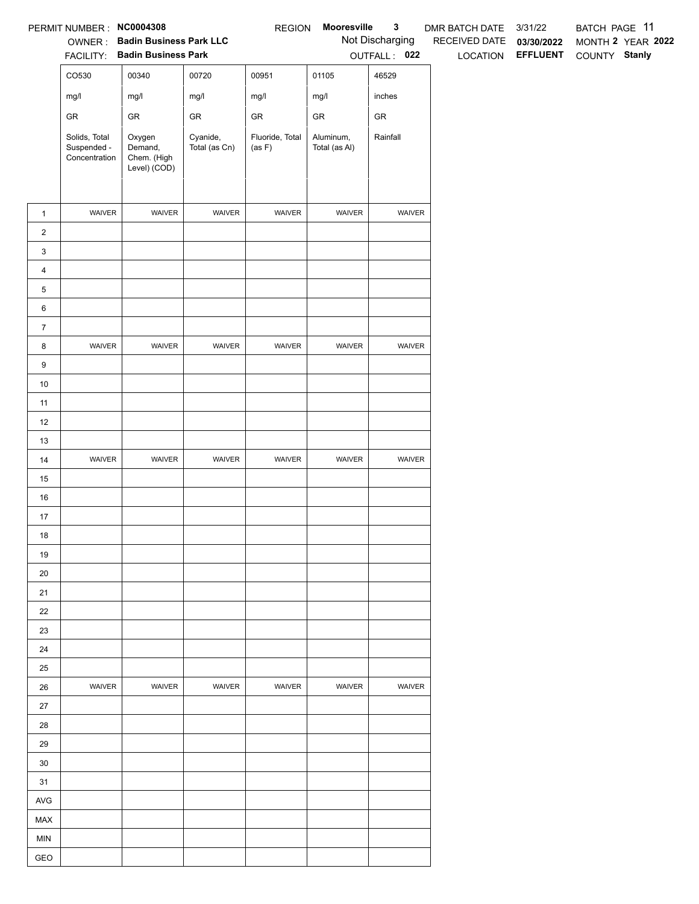|                | PERMIT NUMBER: NC0004308                      |                                                  |                           | <b>REGION</b>             | Mooresville                | $\mathbf{3}$    | DMR BATCH DATE           | 3/31/22                         | BATCH PAGE 11 |                   |
|----------------|-----------------------------------------------|--------------------------------------------------|---------------------------|---------------------------|----------------------------|-----------------|--------------------------|---------------------------------|---------------|-------------------|
|                |                                               | OWNER: Badin Business Park LLC                   |                           |                           |                            | Not Discharging | RECEIVED DATE 03/30/2022 |                                 |               | MONTH 2 YEAR 2022 |
|                |                                               | FACILITY: Badin Business Park                    |                           |                           |                            | OUTFALL: 022    |                          | LOCATION EFFLUENT COUNTY Stanly |               |                   |
|                | CO530                                         | 00340                                            | 00720                     | 00951                     | 01105                      | 46529           |                          |                                 |               |                   |
|                | mg/l                                          | mg/l                                             | mg/l                      | mg/l                      | mg/l                       | inches          |                          |                                 |               |                   |
|                | ${\sf GR}$                                    | ${\sf GR}$                                       | ${\sf GR}$                | ${\sf GR}$                | ${\sf GR}$                 | ${\sf GR}$      |                          |                                 |               |                   |
|                | Solids, Total<br>Suspended -<br>Concentration | Oxygen<br>Demand,<br>Chem. (High<br>Level) (COD) | Cyanide,<br>Total (as Cn) | Fluoride, Total<br>(as F) | Aluminum,<br>Total (as Al) | Rainfall        |                          |                                 |               |                   |
| $\mathbf{1}$   | WAIVER                                        | WAIVER                                           | WAIVER                    | WAIVER                    | WAIVER                     | WAIVER          |                          |                                 |               |                   |
| $\overline{2}$ |                                               |                                                  |                           |                           |                            |                 |                          |                                 |               |                   |
| $\mathbf{3}$   |                                               |                                                  |                           |                           |                            |                 |                          |                                 |               |                   |
| $\overline{4}$ |                                               |                                                  |                           |                           |                            |                 |                          |                                 |               |                   |
| $\,$ 5 $\,$    |                                               |                                                  |                           |                           |                            |                 |                          |                                 |               |                   |
| 6              |                                               |                                                  |                           |                           |                            |                 |                          |                                 |               |                   |
| $\overline{7}$ |                                               |                                                  |                           |                           |                            |                 |                          |                                 |               |                   |
| 8              | WAIVER                                        | WAIVER                                           | WAIVER                    | WAIVER                    | WAIVER                     | WAIVER          |                          |                                 |               |                   |
| $9\,$          |                                               |                                                  |                           |                           |                            |                 |                          |                                 |               |                   |
| 10             |                                               |                                                  |                           |                           |                            |                 |                          |                                 |               |                   |
| 11             |                                               |                                                  |                           |                           |                            |                 |                          |                                 |               |                   |
| 12             |                                               |                                                  |                           |                           |                            |                 |                          |                                 |               |                   |
| 13             |                                               |                                                  |                           |                           |                            |                 |                          |                                 |               |                   |
| 14             | WAIVER                                        | WAIVER                                           | WAIVER                    | WAIVER                    | WAIVER                     | WAIVER          |                          |                                 |               |                   |
| 15             |                                               |                                                  |                           |                           |                            |                 |                          |                                 |               |                   |
| 16             |                                               |                                                  |                           |                           |                            |                 |                          |                                 |               |                   |
| 17             |                                               |                                                  |                           |                           |                            |                 |                          |                                 |               |                   |
| 18             |                                               |                                                  |                           |                           |                            |                 |                          |                                 |               |                   |
| 19             |                                               |                                                  |                           |                           |                            |                 |                          |                                 |               |                   |
| 20             |                                               |                                                  |                           |                           |                            |                 |                          |                                 |               |                   |
| 21             |                                               |                                                  |                           |                           |                            |                 |                          |                                 |               |                   |
| 22             |                                               |                                                  |                           |                           |                            |                 |                          |                                 |               |                   |
| 23             |                                               |                                                  |                           |                           |                            |                 |                          |                                 |               |                   |
| 24<br>25       |                                               |                                                  |                           |                           |                            |                 |                          |                                 |               |                   |
| 26             | <b>WAIVER</b>                                 | WAIVER                                           | <b>WAIVER</b>             | WAIVER                    | <b>WAIVER</b>              | <b>WAIVER</b>   |                          |                                 |               |                   |
| 27             |                                               |                                                  |                           |                           |                            |                 |                          |                                 |               |                   |
| 28             |                                               |                                                  |                           |                           |                            |                 |                          |                                 |               |                   |
| 29             |                                               |                                                  |                           |                           |                            |                 |                          |                                 |               |                   |
| 30             |                                               |                                                  |                           |                           |                            |                 |                          |                                 |               |                   |
| 31             |                                               |                                                  |                           |                           |                            |                 |                          |                                 |               |                   |
| AVG            |                                               |                                                  |                           |                           |                            |                 |                          |                                 |               |                   |
| MAX            |                                               |                                                  |                           |                           |                            |                 |                          |                                 |               |                   |
| <b>MIN</b>     |                                               |                                                  |                           |                           |                            |                 |                          |                                 |               |                   |
| GEO            |                                               |                                                  |                           |                           |                            |                 |                          |                                 |               |                   |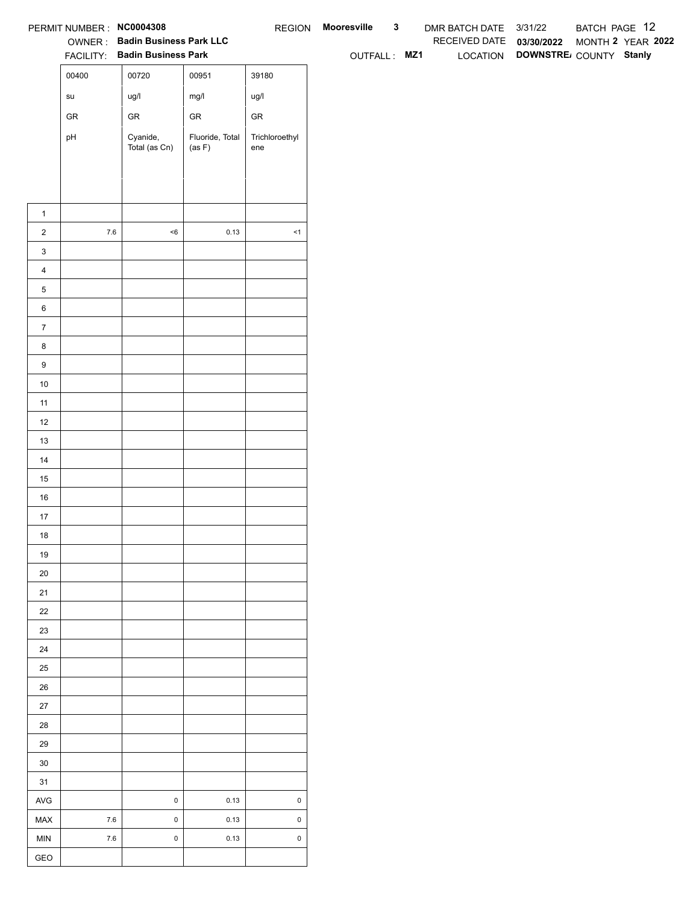|                  | PERMIT NUMBER : NC0004308 |                                       |                           |                       | REGION Mooresville | $\mathbf{3}$ | DMR BATCH DATE 3/31/22   |                                 | BATCH PAGE 12     |  |
|------------------|---------------------------|---------------------------------------|---------------------------|-----------------------|--------------------|--------------|--------------------------|---------------------------------|-------------------|--|
|                  |                           | <b>OWNER: Badin Business Park LLC</b> |                           |                       |                    |              | RECEIVED DATE 03/30/2022 |                                 | MONTH 2 YEAR 2022 |  |
|                  |                           | FACILITY: Badin Business Park         |                           |                       | OUTFALL: MZ1       |              |                          | LOCATION DOWNSTRE COUNTY Stanly |                   |  |
|                  | 00400                     | 00720                                 | 00951                     | 39180                 |                    |              |                          |                                 |                   |  |
|                  | ${\sf su}$                | ug/l                                  | mg/l                      | ug/l                  |                    |              |                          |                                 |                   |  |
|                  | ${\sf GR}$                | ${\sf GR}$                            | ${\sf GR}$                | ${\sf GR}$            |                    |              |                          |                                 |                   |  |
|                  | pH                        | Cyanide,<br>Total (as Cn)             | Fluoride, Total<br>(as F) | Trichloroethyl<br>ene |                    |              |                          |                                 |                   |  |
|                  |                           |                                       |                           |                       |                    |              |                          |                                 |                   |  |
|                  |                           |                                       |                           |                       |                    |              |                          |                                 |                   |  |
|                  |                           |                                       |                           |                       |                    |              |                          |                                 |                   |  |
| $\mathbf{1}$     |                           |                                       |                           |                       |                    |              |                          |                                 |                   |  |
| $\overline{2}$   | $7.6\,$                   | $<\!6$                                | 0.13                      | $\leq$ 1              |                    |              |                          |                                 |                   |  |
| $\mathbf{3}$     |                           |                                       |                           |                       |                    |              |                          |                                 |                   |  |
| $\overline{4}$   |                           |                                       |                           |                       |                    |              |                          |                                 |                   |  |
| ${\bf 5}$        |                           |                                       |                           |                       |                    |              |                          |                                 |                   |  |
| 6                |                           |                                       |                           |                       |                    |              |                          |                                 |                   |  |
| $\overline{7}$   |                           |                                       |                           |                       |                    |              |                          |                                 |                   |  |
| 8                |                           |                                       |                           |                       |                    |              |                          |                                 |                   |  |
| $\boldsymbol{9}$ |                           |                                       |                           |                       |                    |              |                          |                                 |                   |  |
| 10               |                           |                                       |                           |                       |                    |              |                          |                                 |                   |  |
| 11<br>$12$       |                           |                                       |                           |                       |                    |              |                          |                                 |                   |  |
| 13               |                           |                                       |                           |                       |                    |              |                          |                                 |                   |  |
| 14               |                           |                                       |                           |                       |                    |              |                          |                                 |                   |  |
| 15               |                           |                                       |                           |                       |                    |              |                          |                                 |                   |  |
| 16               |                           |                                       |                           |                       |                    |              |                          |                                 |                   |  |
| 17               |                           |                                       |                           |                       |                    |              |                          |                                 |                   |  |
| 18               |                           |                                       |                           |                       |                    |              |                          |                                 |                   |  |
| 19               |                           |                                       |                           |                       |                    |              |                          |                                 |                   |  |
| $20\,$           |                           |                                       |                           |                       |                    |              |                          |                                 |                   |  |
| 21               |                           |                                       |                           |                       |                    |              |                          |                                 |                   |  |
| $22\,$           |                           |                                       |                           |                       |                    |              |                          |                                 |                   |  |
| 23               |                           |                                       |                           |                       |                    |              |                          |                                 |                   |  |
| 24               |                           |                                       |                           |                       |                    |              |                          |                                 |                   |  |
| 25               |                           |                                       |                           |                       |                    |              |                          |                                 |                   |  |
| 26               |                           |                                       |                           |                       |                    |              |                          |                                 |                   |  |
| $27\,$           |                           |                                       |                           |                       |                    |              |                          |                                 |                   |  |
| 28               |                           |                                       |                           |                       |                    |              |                          |                                 |                   |  |
| $29\,$           |                           |                                       |                           |                       |                    |              |                          |                                 |                   |  |
| 30               |                           |                                       |                           |                       |                    |              |                          |                                 |                   |  |
| 31               |                           |                                       |                           |                       |                    |              |                          |                                 |                   |  |
| AVG              |                           | $\pmb{0}$                             | 0.13                      | $\mathsf{O}\xspace$   |                    |              |                          |                                 |                   |  |
| MAX              | $7.6\,$                   | $\pmb{0}$                             | 0.13                      | $\mathsf{O}\xspace$   |                    |              |                          |                                 |                   |  |
| MIN              | $7.6$                     | $\mathsf 0$                           | 0.13                      | $\mathsf{O}\xspace$   |                    |              |                          |                                 |                   |  |
| GEO              |                           |                                       |                           |                       |                    |              |                          |                                 |                   |  |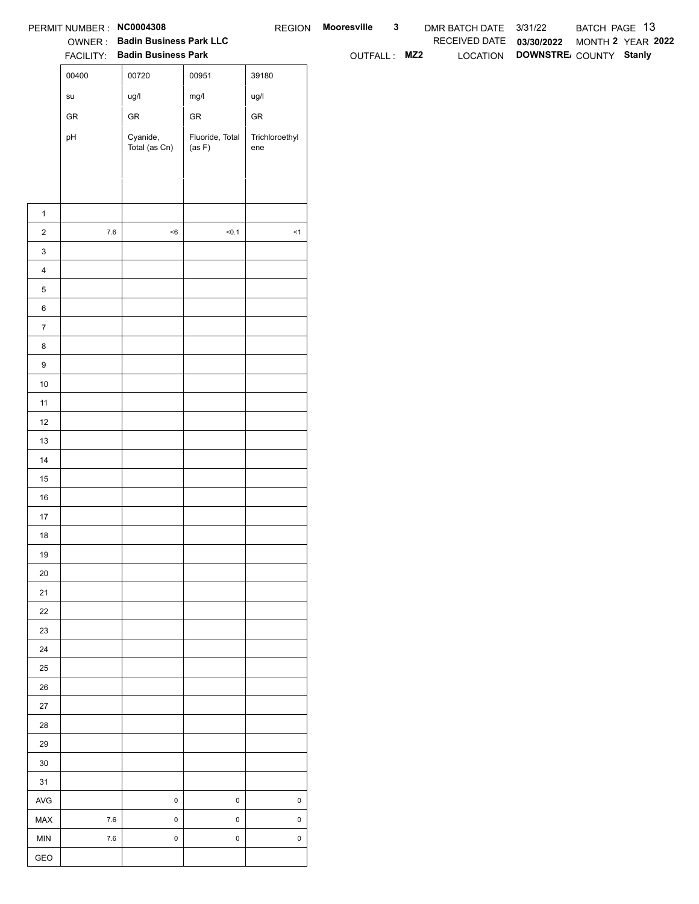|                  | PERMIT NUMBER : NC0004308             |                                                                 |                           |                       | REGION Mooresville | $\mathbf{3}$ | DMR BATCH DATE 3/31/22   |                                 | BATCH PAGE 13 |                   |
|------------------|---------------------------------------|-----------------------------------------------------------------|---------------------------|-----------------------|--------------------|--------------|--------------------------|---------------------------------|---------------|-------------------|
|                  |                                       | OWNER: Badin Business Park LLC<br>FACILITY: Badin Business Park |                           |                       | OUTFALL: MZ2       |              | RECEIVED DATE 03/30/2022 | LOCATION DOWNSTRE COUNTY Stanly |               | MONTH 2 YEAR 2022 |
|                  | 00400                                 | 00720                                                           | 00951                     | 39180                 |                    |              |                          |                                 |               |                   |
|                  | $\operatorname{\mathsf{su}}\nolimits$ | ug/l                                                            | mg/l                      | ug/l                  |                    |              |                          |                                 |               |                   |
|                  | ${\sf GR}$                            | ${\sf GR}$                                                      | ${\sf GR}$                | ${\sf GR}$            |                    |              |                          |                                 |               |                   |
|                  |                                       |                                                                 |                           |                       |                    |              |                          |                                 |               |                   |
|                  | pH                                    | Cyanide,<br>Total (as Cn)                                       | Fluoride, Total<br>(as F) | Trichloroethyl<br>ene |                    |              |                          |                                 |               |                   |
|                  |                                       |                                                                 |                           |                       |                    |              |                          |                                 |               |                   |
|                  |                                       |                                                                 |                           |                       |                    |              |                          |                                 |               |                   |
| $\mathbf{1}$     |                                       |                                                                 |                           |                       |                    |              |                          |                                 |               |                   |
| $\overline{2}$   | $7.6\,$                               | $<\!6$                                                          | 50.1                      | $\leq$ 1              |                    |              |                          |                                 |               |                   |
| $\mathbf{3}$     |                                       |                                                                 |                           |                       |                    |              |                          |                                 |               |                   |
| $\overline{4}$   |                                       |                                                                 |                           |                       |                    |              |                          |                                 |               |                   |
| $\,$ 5 $\,$      |                                       |                                                                 |                           |                       |                    |              |                          |                                 |               |                   |
| $\,6$            |                                       |                                                                 |                           |                       |                    |              |                          |                                 |               |                   |
| $\overline{7}$   |                                       |                                                                 |                           |                       |                    |              |                          |                                 |               |                   |
| 8                |                                       |                                                                 |                           |                       |                    |              |                          |                                 |               |                   |
| $\boldsymbol{9}$ |                                       |                                                                 |                           |                       |                    |              |                          |                                 |               |                   |
| 10               |                                       |                                                                 |                           |                       |                    |              |                          |                                 |               |                   |
| 11               |                                       |                                                                 |                           |                       |                    |              |                          |                                 |               |                   |
| 12               |                                       |                                                                 |                           |                       |                    |              |                          |                                 |               |                   |
| 13               |                                       |                                                                 |                           |                       |                    |              |                          |                                 |               |                   |
| 14               |                                       |                                                                 |                           |                       |                    |              |                          |                                 |               |                   |
| 15               |                                       |                                                                 |                           |                       |                    |              |                          |                                 |               |                   |
| 16               |                                       |                                                                 |                           |                       |                    |              |                          |                                 |               |                   |
| $17$             |                                       |                                                                 |                           |                       |                    |              |                          |                                 |               |                   |
| 18               |                                       |                                                                 |                           |                       |                    |              |                          |                                 |               |                   |
| 19               |                                       |                                                                 |                           |                       |                    |              |                          |                                 |               |                   |
| $20\,$           |                                       |                                                                 |                           |                       |                    |              |                          |                                 |               |                   |
| 21               |                                       |                                                                 |                           |                       |                    |              |                          |                                 |               |                   |
| $22\,$           |                                       |                                                                 |                           |                       |                    |              |                          |                                 |               |                   |
| 23               |                                       |                                                                 |                           |                       |                    |              |                          |                                 |               |                   |
| 24               |                                       |                                                                 |                           |                       |                    |              |                          |                                 |               |                   |
| $25\,$           |                                       |                                                                 |                           |                       |                    |              |                          |                                 |               |                   |
| 26               |                                       |                                                                 |                           |                       |                    |              |                          |                                 |               |                   |
| 27<br>28         |                                       |                                                                 |                           |                       |                    |              |                          |                                 |               |                   |
| 29               |                                       |                                                                 |                           |                       |                    |              |                          |                                 |               |                   |
| $30\,$           |                                       |                                                                 |                           |                       |                    |              |                          |                                 |               |                   |
| 31               |                                       |                                                                 |                           |                       |                    |              |                          |                                 |               |                   |
| AVG              |                                       | $\mathbf 0$                                                     | $\mathsf 0$               | $\pmb{0}$             |                    |              |                          |                                 |               |                   |
| MAX              | $7.6\,$                               | $\mathbf 0$                                                     | $\mathsf 0$               | $\mathsf 0$           |                    |              |                          |                                 |               |                   |
| MIN              | $7.6\,$                               | $\mathbf 0$                                                     | $\mathsf 0$               | $\mathsf 0$           |                    |              |                          |                                 |               |                   |
| GEO              |                                       |                                                                 |                           |                       |                    |              |                          |                                 |               |                   |